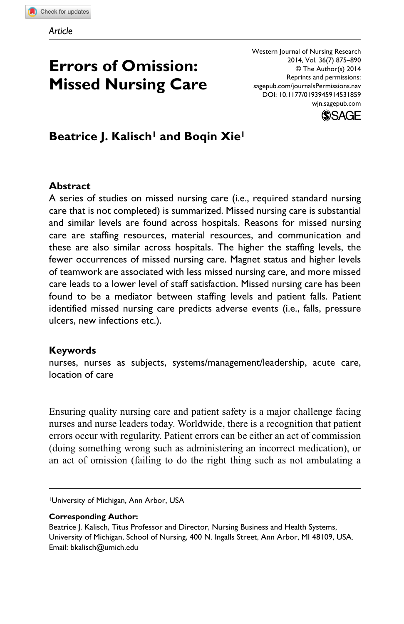# **Errors of Omission: Missed Nursing Care**

Western Journal of Nursing Research 2014, Vol. 36(7) 875–890 © The Author(s) 2014 Reprints and permissions: sagepub.com/journalsPermissions.nav DOI: 10.1177/0193945914531859 wjn.sagepub.com



**Beatrice J. Kalisch<sup>1</sup> and Boqin Xie<sup>1</sup>** 

#### **Abstract**

A series of studies on missed nursing care (i.e., required standard nursing care that is not completed) is summarized. Missed nursing care is substantial and similar levels are found across hospitals. Reasons for missed nursing care are staffing resources, material resources, and communication and these are also similar across hospitals. The higher the staffing levels, the fewer occurrences of missed nursing care. Magnet status and higher levels of teamwork are associated with less missed nursing care, and more missed care leads to a lower level of staff satisfaction. Missed nursing care has been found to be a mediator between staffing levels and patient falls. Patient identified missed nursing care predicts adverse events (i.e., falls, pressure ulcers, new infections etc.).

#### **Keywords**

nurses, nurses as subjects, systems/management/leadership, acute care, location of care

Ensuring quality nursing care and patient safety is a major challenge facing nurses and nurse leaders today. Worldwide, there is a recognition that patient errors occur with regularity. Patient errors can be either an act of commission (doing something wrong such as administering an incorrect medication), or an act of omission (failing to do the right thing such as not ambulating a

1University of Michigan, Ann Arbor, USA

#### **Corresponding Author:**

Beatrice J. Kalisch, Titus Professor and Director, Nursing Business and Health Systems, University of Michigan, School of Nursing, 400 N. Ingalls Street, Ann Arbor, MI 48109, USA. Email: bkalisch@umich.edu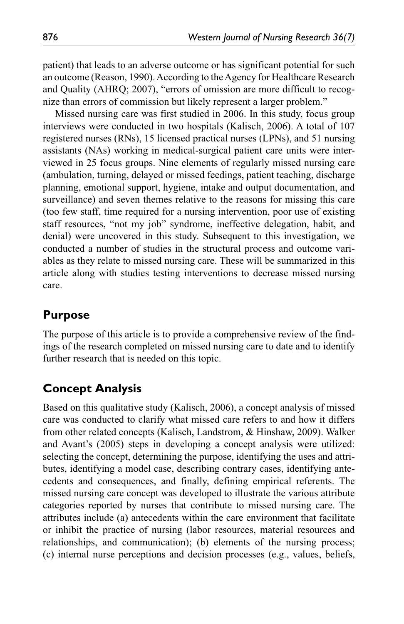patient) that leads to an adverse outcome or has significant potential for such an outcome (Reason, 1990). According to the Agency for Healthcare Research and Quality (AHRQ; 2007), "errors of omission are more difficult to recognize than errors of commission but likely represent a larger problem."

Missed nursing care was first studied in 2006. In this study, focus group interviews were conducted in two hospitals (Kalisch, 2006). A total of 107 registered nurses (RNs), 15 licensed practical nurses (LPNs), and 51 nursing assistants (NAs) working in medical-surgical patient care units were interviewed in 25 focus groups. Nine elements of regularly missed nursing care (ambulation, turning, delayed or missed feedings, patient teaching, discharge planning, emotional support, hygiene, intake and output documentation, and surveillance) and seven themes relative to the reasons for missing this care (too few staff, time required for a nursing intervention, poor use of existing staff resources, "not my job" syndrome, ineffective delegation, habit, and denial) were uncovered in this study. Subsequent to this investigation, we conducted a number of studies in the structural process and outcome variables as they relate to missed nursing care. These will be summarized in this article along with studies testing interventions to decrease missed nursing care.

# **Purpose**

The purpose of this article is to provide a comprehensive review of the findings of the research completed on missed nursing care to date and to identify further research that is needed on this topic.

# **Concept Analysis**

Based on this qualitative study (Kalisch, 2006), a concept analysis of missed care was conducted to clarify what missed care refers to and how it differs from other related concepts (Kalisch, Landstrom, & Hinshaw, 2009). Walker and Avant's (2005) steps in developing a concept analysis were utilized: selecting the concept, determining the purpose, identifying the uses and attributes, identifying a model case, describing contrary cases, identifying antecedents and consequences, and finally, defining empirical referents. The missed nursing care concept was developed to illustrate the various attribute categories reported by nurses that contribute to missed nursing care. The attributes include (a) antecedents within the care environment that facilitate or inhibit the practice of nursing (labor resources, material resources and relationships, and communication); (b) elements of the nursing process; (c) internal nurse perceptions and decision processes (e.g., values, beliefs,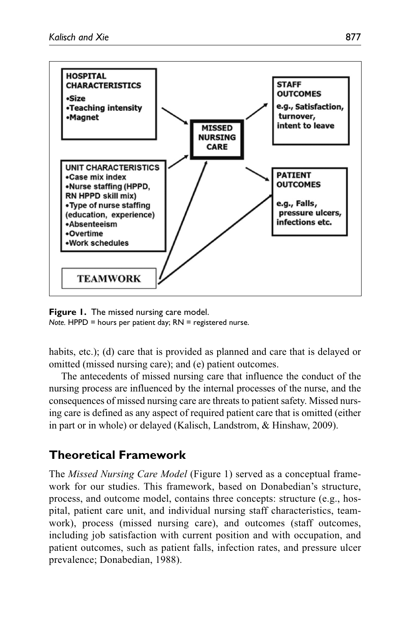

**Figure 1.** The missed nursing care model. *Note.* HPPD = hours per patient day; RN = registered nurse.

habits, etc.); (d) care that is provided as planned and care that is delayed or omitted (missed nursing care); and (e) patient outcomes.

The antecedents of missed nursing care that influence the conduct of the nursing process are influenced by the internal processes of the nurse, and the consequences of missed nursing care are threats to patient safety. Missed nursing care is defined as any aspect of required patient care that is omitted (either in part or in whole) or delayed (Kalisch, Landstrom, & Hinshaw, 2009).

# **Theoretical Framework**

The *Missed Nursing Care Model* (Figure 1) served as a conceptual framework for our studies. This framework, based on Donabedian's structure, process, and outcome model, contains three concepts: structure (e.g., hospital, patient care unit, and individual nursing staff characteristics, teamwork), process (missed nursing care), and outcomes (staff outcomes, including job satisfaction with current position and with occupation, and patient outcomes, such as patient falls, infection rates, and pressure ulcer prevalence; Donabedian, 1988).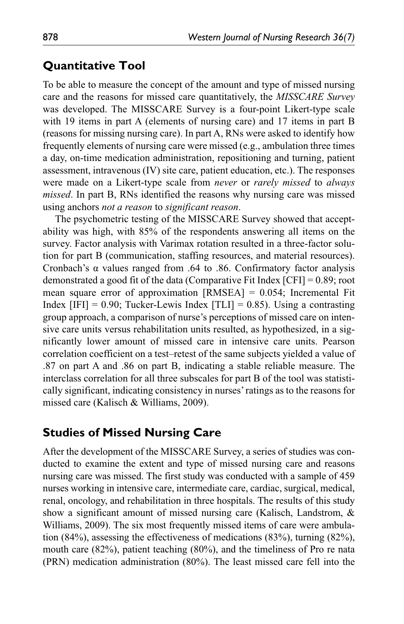#### **Quantitative Tool**

To be able to measure the concept of the amount and type of missed nursing care and the reasons for missed care quantitatively, the *MISSCARE Survey* was developed. The MISSCARE Survey is a four-point Likert-type scale with 19 items in part A (elements of nursing care) and 17 items in part B (reasons for missing nursing care). In part A, RNs were asked to identify how frequently elements of nursing care were missed (e.g., ambulation three times a day, on-time medication administration, repositioning and turning, patient assessment, intravenous (IV) site care, patient education, etc.). The responses were made on a Likert-type scale from *never* or *rarely missed* to *always missed*. In part B, RNs identified the reasons why nursing care was missed using anchors *not a reason* to *significant reason*.

The psychometric testing of the MISSCARE Survey showed that acceptability was high, with 85% of the respondents answering all items on the survey. Factor analysis with Varimax rotation resulted in a three-factor solution for part B (communication, staffing resources, and material resources). Cronbach's α values ranged from .64 to .86. Confirmatory factor analysis demonstrated a good fit of the data (Comparative Fit Index [CFI] = 0.89; root mean square error of approximation  $[RMSEA] = 0.054$ ; Incremental Fit Index  $[IFI] = 0.90$ ; Tucker-Lewis Index  $[TLI] = 0.85$ ). Using a contrasting group approach, a comparison of nurse's perceptions of missed care on intensive care units versus rehabilitation units resulted, as hypothesized, in a significantly lower amount of missed care in intensive care units. Pearson correlation coefficient on a test–retest of the same subjects yielded a value of .87 on part A and .86 on part B, indicating a stable reliable measure. The interclass correlation for all three subscales for part B of the tool was statistically significant, indicating consistency in nurses' ratings as to the reasons for missed care (Kalisch & Williams, 2009).

## **Studies of Missed Nursing Care**

After the development of the MISSCARE Survey, a series of studies was conducted to examine the extent and type of missed nursing care and reasons nursing care was missed. The first study was conducted with a sample of 459 nurses working in intensive care, intermediate care, cardiac, surgical, medical, renal, oncology, and rehabilitation in three hospitals. The results of this study show a significant amount of missed nursing care (Kalisch, Landstrom, & Williams, 2009). The six most frequently missed items of care were ambulation (84%), assessing the effectiveness of medications (83%), turning (82%), mouth care (82%), patient teaching (80%), and the timeliness of Pro re nata (PRN) medication administration (80%). The least missed care fell into the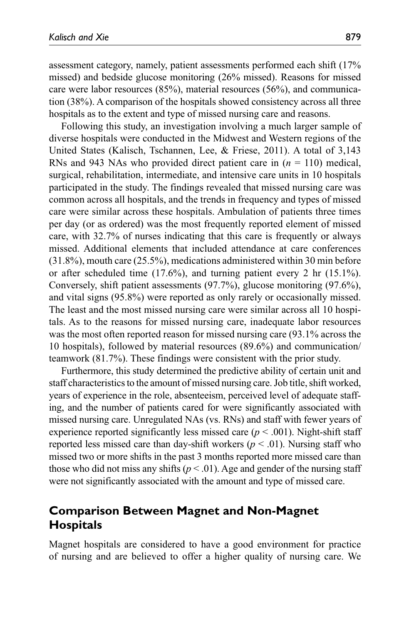assessment category, namely, patient assessments performed each shift (17% missed) and bedside glucose monitoring (26% missed). Reasons for missed care were labor resources (85%), material resources (56%), and communication (38%). A comparison of the hospitals showed consistency across all three hospitals as to the extent and type of missed nursing care and reasons.

Following this study, an investigation involving a much larger sample of diverse hospitals were conducted in the Midwest and Western regions of the United States (Kalisch, Tschannen, Lee, & Friese, 2011). A total of 3,143 RNs and 943 NAs who provided direct patient care in (*n* = 110) medical, surgical, rehabilitation, intermediate, and intensive care units in 10 hospitals participated in the study. The findings revealed that missed nursing care was common across all hospitals, and the trends in frequency and types of missed care were similar across these hospitals. Ambulation of patients three times per day (or as ordered) was the most frequently reported element of missed care, with 32.7% of nurses indicating that this care is frequently or always missed. Additional elements that included attendance at care conferences (31.8%), mouth care (25.5%), medications administered within 30 min before or after scheduled time (17.6%), and turning patient every 2 hr (15.1%). Conversely, shift patient assessments (97.7%), glucose monitoring (97.6%), and vital signs (95.8%) were reported as only rarely or occasionally missed. The least and the most missed nursing care were similar across all 10 hospitals. As to the reasons for missed nursing care, inadequate labor resources was the most often reported reason for missed nursing care (93.1% across the 10 hospitals), followed by material resources (89.6%) and communication/ teamwork (81.7%). These findings were consistent with the prior study.

Furthermore, this study determined the predictive ability of certain unit and staff characteristics to the amount of missed nursing care. Job title, shift worked, years of experience in the role, absenteeism, perceived level of adequate staffing, and the number of patients cared for were significantly associated with missed nursing care. Unregulated NAs (vs. RNs) and staff with fewer years of experience reported significantly less missed care  $(p < .001)$ . Night-shift staff reported less missed care than day-shift workers ( $p < .01$ ). Nursing staff who missed two or more shifts in the past 3 months reported more missed care than those who did not miss any shifts  $(p < .01)$ . Age and gender of the nursing staff were not significantly associated with the amount and type of missed care.

# **Comparison Between Magnet and Non-Magnet Hospitals**

Magnet hospitals are considered to have a good environment for practice of nursing and are believed to offer a higher quality of nursing care. We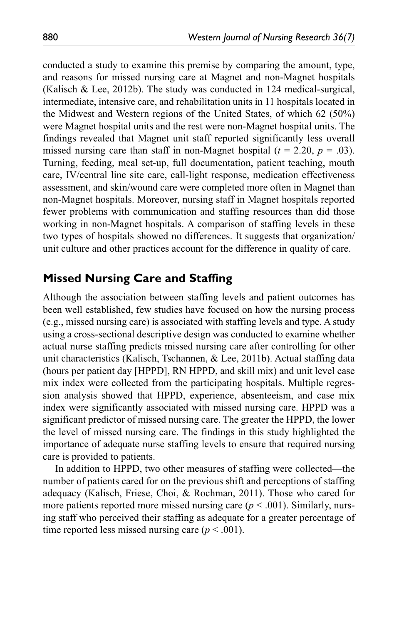conducted a study to examine this premise by comparing the amount, type, and reasons for missed nursing care at Magnet and non-Magnet hospitals (Kalisch & Lee, 2012b). The study was conducted in 124 medical-surgical, intermediate, intensive care, and rehabilitation units in 11 hospitals located in the Midwest and Western regions of the United States, of which 62 (50%) were Magnet hospital units and the rest were non-Magnet hospital units. The findings revealed that Magnet unit staff reported significantly less overall missed nursing care than staff in non-Magnet hospital  $(t = 2.20, p = .03)$ . Turning, feeding, meal set-up, full documentation, patient teaching, mouth care, IV/central line site care, call-light response, medication effectiveness assessment, and skin/wound care were completed more often in Magnet than non-Magnet hospitals. Moreover, nursing staff in Magnet hospitals reported fewer problems with communication and staffing resources than did those working in non-Magnet hospitals. A comparison of staffing levels in these two types of hospitals showed no differences. It suggests that organization/ unit culture and other practices account for the difference in quality of care.

#### **Missed Nursing Care and Staffing**

Although the association between staffing levels and patient outcomes has been well established, few studies have focused on how the nursing process (e.g., missed nursing care) is associated with staffing levels and type. A study using a cross-sectional descriptive design was conducted to examine whether actual nurse staffing predicts missed nursing care after controlling for other unit characteristics (Kalisch, Tschannen, & Lee, 2011b). Actual staffing data (hours per patient day [HPPD], RN HPPD, and skill mix) and unit level case mix index were collected from the participating hospitals. Multiple regression analysis showed that HPPD, experience, absenteeism, and case mix index were significantly associated with missed nursing care. HPPD was a significant predictor of missed nursing care. The greater the HPPD, the lower the level of missed nursing care. The findings in this study highlighted the importance of adequate nurse staffing levels to ensure that required nursing care is provided to patients.

In addition to HPPD, two other measures of staffing were collected—the number of patients cared for on the previous shift and perceptions of staffing adequacy (Kalisch, Friese, Choi, & Rochman, 2011). Those who cared for more patients reported more missed nursing care  $(p < .001)$ . Similarly, nursing staff who perceived their staffing as adequate for a greater percentage of time reported less missed nursing care  $(p < .001)$ .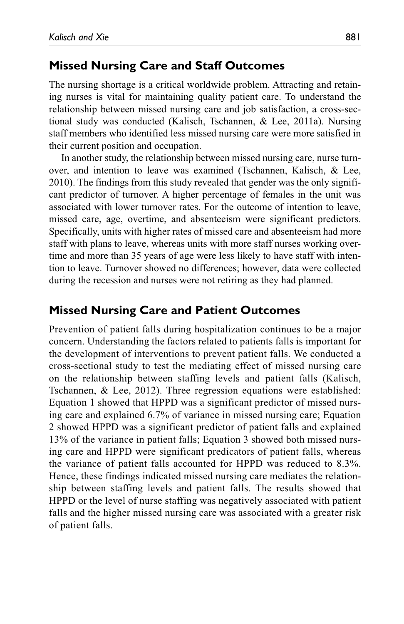#### **Missed Nursing Care and Staff Outcomes**

The nursing shortage is a critical worldwide problem. Attracting and retaining nurses is vital for maintaining quality patient care. To understand the relationship between missed nursing care and job satisfaction, a cross-sectional study was conducted (Kalisch, Tschannen, & Lee, 2011a). Nursing staff members who identified less missed nursing care were more satisfied in their current position and occupation.

In another study, the relationship between missed nursing care, nurse turnover, and intention to leave was examined (Tschannen, Kalisch, & Lee, 2010). The findings from this study revealed that gender was the only significant predictor of turnover. A higher percentage of females in the unit was associated with lower turnover rates. For the outcome of intention to leave, missed care, age, overtime, and absenteeism were significant predictors. Specifically, units with higher rates of missed care and absenteeism had more staff with plans to leave, whereas units with more staff nurses working overtime and more than 35 years of age were less likely to have staff with intention to leave. Turnover showed no differences; however, data were collected during the recession and nurses were not retiring as they had planned.

#### **Missed Nursing Care and Patient Outcomes**

Prevention of patient falls during hospitalization continues to be a major concern. Understanding the factors related to patients falls is important for the development of interventions to prevent patient falls. We conducted a cross-sectional study to test the mediating effect of missed nursing care on the relationship between staffing levels and patient falls (Kalisch, Tschannen, & Lee, 2012). Three regression equations were established: Equation 1 showed that HPPD was a significant predictor of missed nursing care and explained 6.7% of variance in missed nursing care; Equation 2 showed HPPD was a significant predictor of patient falls and explained 13% of the variance in patient falls; Equation 3 showed both missed nursing care and HPPD were significant predicators of patient falls, whereas the variance of patient falls accounted for HPPD was reduced to 8.3%. Hence, these findings indicated missed nursing care mediates the relationship between staffing levels and patient falls. The results showed that HPPD or the level of nurse staffing was negatively associated with patient falls and the higher missed nursing care was associated with a greater risk of patient falls.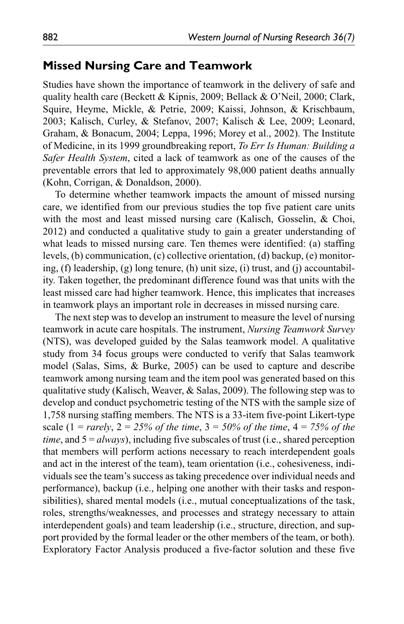#### **Missed Nursing Care and Teamwork**

Studies have shown the importance of teamwork in the delivery of safe and quality health care (Beckett & Kipnis, 2009; Bellack & O'Neil, 2000; Clark, Squire, Heyme, Mickle, & Petrie, 2009; Kaissi, Johnson, & Krischbaum, 2003; Kalisch, Curley, & Stefanov, 2007; Kalisch & Lee, 2009; Leonard, Graham, & Bonacum, 2004; Leppa, 1996; Morey et al., 2002). The Institute of Medicine, in its 1999 groundbreaking report, *To Err Is Human: Building a Safer Health System*, cited a lack of teamwork as one of the causes of the preventable errors that led to approximately 98,000 patient deaths annually (Kohn, Corrigan, & Donaldson, 2000).

To determine whether teamwork impacts the amount of missed nursing care, we identified from our previous studies the top five patient care units with the most and least missed nursing care (Kalisch, Gosselin, & Choi, 2012) and conducted a qualitative study to gain a greater understanding of what leads to missed nursing care. Ten themes were identified: (a) staffing levels, (b) communication, (c) collective orientation, (d) backup, (e) monitoring, (f) leadership, (g) long tenure, (h) unit size, (i) trust, and (j) accountability. Taken together, the predominant difference found was that units with the least missed care had higher teamwork. Hence, this implicates that increases in teamwork plays an important role in decreases in missed nursing care.

The next step was to develop an instrument to measure the level of nursing teamwork in acute care hospitals. The instrument, *Nursing Teamwork Survey* (NTS), was developed guided by the Salas teamwork model. A qualitative study from 34 focus groups were conducted to verify that Salas teamwork model (Salas, Sims, & Burke, 2005) can be used to capture and describe teamwork among nursing team and the item pool was generated based on this qualitative study (Kalisch, Weaver, & Salas, 2009). The following step was to develop and conduct psychometric testing of the NTS with the sample size of 1,758 nursing staffing members. The NTS is a 33-item five-point Likert-type scale (1 = *rarely*, 2 = *25% of the time*, 3 = *50% of the time*, 4 = *75% of the time*, and 5 = *always*), including five subscales of trust (i.e., shared perception that members will perform actions necessary to reach interdependent goals and act in the interest of the team), team orientation (i.e., cohesiveness, individuals see the team's success as taking precedence over individual needs and performance), backup (i.e., helping one another with their tasks and responsibilities), shared mental models (i.e., mutual conceptualizations of the task, roles, strengths/weaknesses, and processes and strategy necessary to attain interdependent goals) and team leadership (i.e., structure, direction, and support provided by the formal leader or the other members of the team, or both). Exploratory Factor Analysis produced a five-factor solution and these five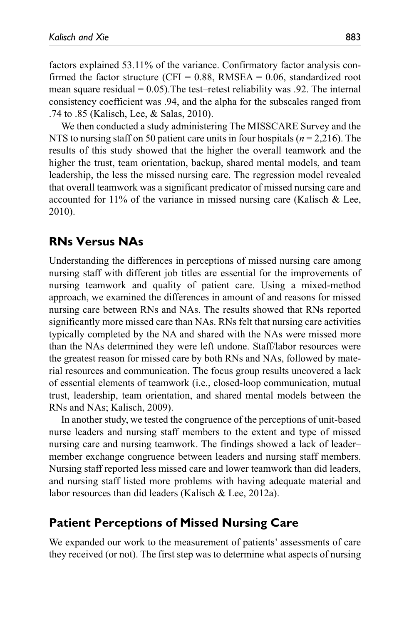factors explained 53.11% of the variance. Confirmatory factor analysis confirmed the factor structure (CFI =  $0.88$ , RMSEA =  $0.06$ , standardized root mean square residual  $= 0.05$ ). The test–retest reliability was 0.92. The internal consistency coefficient was .94, and the alpha for the subscales ranged from .74 to .85 (Kalisch, Lee, & Salas, 2010).

We then conducted a study administering The MISSCARE Survey and the NTS to nursing staff on 50 patient care units in four hospitals (*n* = 2,216). The results of this study showed that the higher the overall teamwork and the higher the trust, team orientation, backup, shared mental models, and team leadership, the less the missed nursing care. The regression model revealed that overall teamwork was a significant predicator of missed nursing care and accounted for  $11\%$  of the variance in missed nursing care (Kalisch & Lee, 2010).

#### **RNs Versus NAs**

Understanding the differences in perceptions of missed nursing care among nursing staff with different job titles are essential for the improvements of nursing teamwork and quality of patient care. Using a mixed-method approach, we examined the differences in amount of and reasons for missed nursing care between RNs and NAs. The results showed that RNs reported significantly more missed care than NAs. RNs felt that nursing care activities typically completed by the NA and shared with the NAs were missed more than the NAs determined they were left undone. Staff/labor resources were the greatest reason for missed care by both RNs and NAs, followed by material resources and communication. The focus group results uncovered a lack of essential elements of teamwork (i.e., closed-loop communication, mutual trust, leadership, team orientation, and shared mental models between the RNs and NAs; Kalisch, 2009).

In another study, we tested the congruence of the perceptions of unit-based nurse leaders and nursing staff members to the extent and type of missed nursing care and nursing teamwork. The findings showed a lack of leader– member exchange congruence between leaders and nursing staff members. Nursing staff reported less missed care and lower teamwork than did leaders, and nursing staff listed more problems with having adequate material and labor resources than did leaders (Kalisch & Lee, 2012a).

#### **Patient Perceptions of Missed Nursing Care**

We expanded our work to the measurement of patients' assessments of care they received (or not). The first step was to determine what aspects of nursing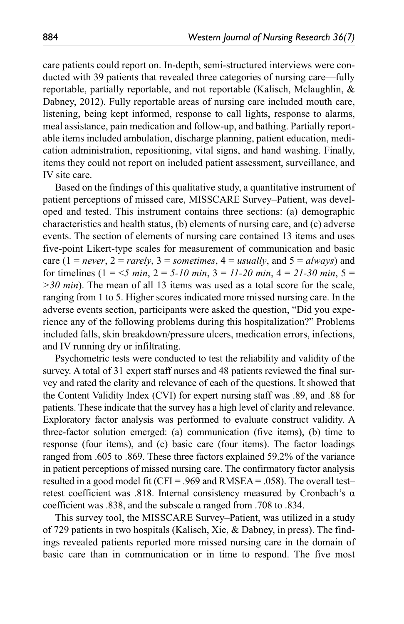care patients could report on. In-depth, semi-structured interviews were conducted with 39 patients that revealed three categories of nursing care—fully reportable, partially reportable, and not reportable (Kalisch, Mclaughlin, & Dabney, 2012). Fully reportable areas of nursing care included mouth care, listening, being kept informed, response to call lights, response to alarms, meal assistance, pain medication and follow-up, and bathing. Partially reportable items included ambulation, discharge planning, patient education, medication administration, repositioning, vital signs, and hand washing. Finally, items they could not report on included patient assessment, surveillance, and IV site care.

Based on the findings of this qualitative study, a quantitative instrument of patient perceptions of missed care, MISSCARE Survey–Patient, was developed and tested. This instrument contains three sections: (a) demographic characteristics and health status, (b) elements of nursing care, and (c) adverse events. The section of elements of nursing care contained 13 items and uses five-point Likert-type scales for measurement of communication and basic care (1 = *never*, 2 = *rarely*, 3 = *sometimes*, 4 = *usually*, and 5 = *always*) and for timelines  $(1 = 5 min, 2 = 5-10 min, 3 = 11-20 min, 4 = 21-30 min, 5 = 11-20 min$ *>30 min*). The mean of all 13 items was used as a total score for the scale, ranging from 1 to 5. Higher scores indicated more missed nursing care. In the adverse events section, participants were asked the question, "Did you experience any of the following problems during this hospitalization?" Problems included falls, skin breakdown/pressure ulcers, medication errors, infections, and IV running dry or infiltrating.

Psychometric tests were conducted to test the reliability and validity of the survey. A total of 31 expert staff nurses and 48 patients reviewed the final survey and rated the clarity and relevance of each of the questions. It showed that the Content Validity Index (CVI) for expert nursing staff was .89, and .88 for patients. These indicate that the survey has a high level of clarity and relevance. Exploratory factor analysis was performed to evaluate construct validity. A three-factor solution emerged: (a) communication (five items), (b) time to response (four items), and (c) basic care (four items). The factor loadings ranged from .605 to .869. These three factors explained 59.2% of the variance in patient perceptions of missed nursing care. The confirmatory factor analysis resulted in a good model fit (CFI = .969 and RMSEA = .058). The overall test– retest coefficient was .818. Internal consistency measured by Cronbach's α coefficient was .838, and the subscale α ranged from .708 to .834.

This survey tool, the MISSCARE Survey–Patient, was utilized in a study of 729 patients in two hospitals (Kalisch, Xie, & Dabney, in press). The findings revealed patients reported more missed nursing care in the domain of basic care than in communication or in time to respond. The five most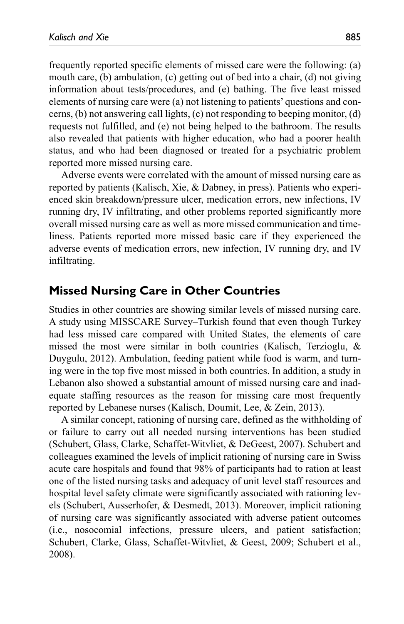frequently reported specific elements of missed care were the following: (a) mouth care, (b) ambulation, (c) getting out of bed into a chair, (d) not giving information about tests/procedures, and (e) bathing. The five least missed elements of nursing care were (a) not listening to patients' questions and concerns, (b) not answering call lights, (c) not responding to beeping monitor, (d) requests not fulfilled, and (e) not being helped to the bathroom. The results also revealed that patients with higher education, who had a poorer health status, and who had been diagnosed or treated for a psychiatric problem reported more missed nursing care.

Adverse events were correlated with the amount of missed nursing care as reported by patients (Kalisch, Xie, & Dabney, in press). Patients who experienced skin breakdown/pressure ulcer, medication errors, new infections, IV running dry, IV infiltrating, and other problems reported significantly more overall missed nursing care as well as more missed communication and timeliness. Patients reported more missed basic care if they experienced the adverse events of medication errors, new infection, IV running dry, and IV infiltrating.

#### **Missed Nursing Care in Other Countries**

Studies in other countries are showing similar levels of missed nursing care. A study using MISSCARE Survey–Turkish found that even though Turkey had less missed care compared with United States, the elements of care missed the most were similar in both countries (Kalisch, Terzioglu, & Duygulu, 2012). Ambulation, feeding patient while food is warm, and turning were in the top five most missed in both countries. In addition, a study in Lebanon also showed a substantial amount of missed nursing care and inadequate staffing resources as the reason for missing care most frequently reported by Lebanese nurses (Kalisch, Doumit, Lee, & Zein, 2013).

A similar concept, rationing of nursing care, defined as the withholding of or failure to carry out all needed nursing interventions has been studied (Schubert, Glass, Clarke, Schaffet-Witvliet, & DeGeest, 2007). Schubert and colleagues examined the levels of implicit rationing of nursing care in Swiss acute care hospitals and found that 98% of participants had to ration at least one of the listed nursing tasks and adequacy of unit level staff resources and hospital level safety climate were significantly associated with rationing levels (Schubert, Ausserhofer, & Desmedt, 2013). Moreover, implicit rationing of nursing care was significantly associated with adverse patient outcomes (i.e., nosocomial infections, pressure ulcers, and patient satisfaction; Schubert, Clarke, Glass, Schaffet-Witvliet, & Geest, 2009; Schubert et al., 2008).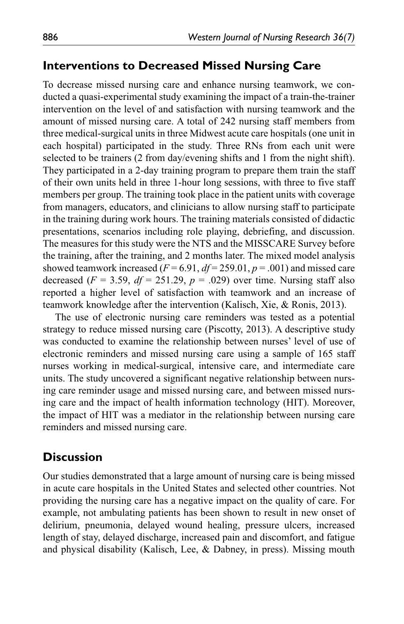## **Interventions to Decreased Missed Nursing Care**

To decrease missed nursing care and enhance nursing teamwork, we conducted a quasi-experimental study examining the impact of a train-the-trainer intervention on the level of and satisfaction with nursing teamwork and the amount of missed nursing care. A total of 242 nursing staff members from three medical-surgical units in three Midwest acute care hospitals (one unit in each hospital) participated in the study. Three RNs from each unit were selected to be trainers (2 from day/evening shifts and 1 from the night shift). They participated in a 2-day training program to prepare them train the staff of their own units held in three 1-hour long sessions, with three to five staff members per group. The training took place in the patient units with coverage from managers, educators, and clinicians to allow nursing staff to participate in the training during work hours. The training materials consisted of didactic presentations, scenarios including role playing, debriefing, and discussion. The measures for this study were the NTS and the MISSCARE Survey before the training, after the training, and 2 months later. The mixed model analysis showed teamwork increased  $(F = 6.91, df = 259.01, p = .001)$  and missed care decreased  $(F = 3.59, df = 251.29, p = .029)$  over time. Nursing staff also reported a higher level of satisfaction with teamwork and an increase of teamwork knowledge after the intervention (Kalisch, Xie, & Ronis, 2013).

The use of electronic nursing care reminders was tested as a potential strategy to reduce missed nursing care (Piscotty, 2013). A descriptive study was conducted to examine the relationship between nurses' level of use of electronic reminders and missed nursing care using a sample of 165 staff nurses working in medical-surgical, intensive care, and intermediate care units. The study uncovered a significant negative relationship between nursing care reminder usage and missed nursing care, and between missed nursing care and the impact of health information technology (HIT). Moreover, the impact of HIT was a mediator in the relationship between nursing care reminders and missed nursing care.

## **Discussion**

Our studies demonstrated that a large amount of nursing care is being missed in acute care hospitals in the United States and selected other countries. Not providing the nursing care has a negative impact on the quality of care. For example, not ambulating patients has been shown to result in new onset of delirium, pneumonia, delayed wound healing, pressure ulcers, increased length of stay, delayed discharge, increased pain and discomfort, and fatigue and physical disability (Kalisch, Lee, & Dabney, in press). Missing mouth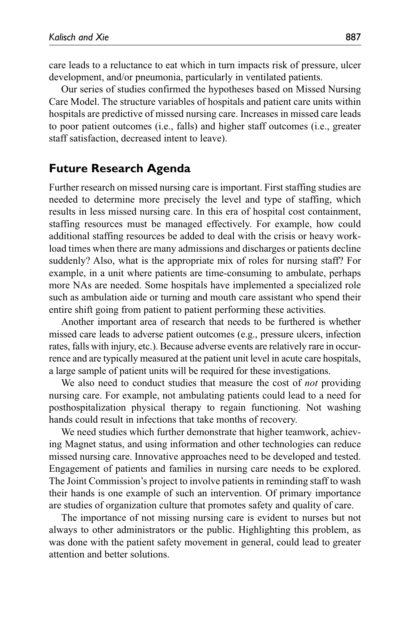care leads to a reluctance to eat which in turn impacts risk of pressure, ulcer development, and/or pneumonia, particularly in ventilated patients.

Our series of studies confirmed the hypotheses based on Missed Nursing Care Model. The structure variables of hospitals and patient care units within hospitals are predictive of missed nursing care. Increases in missed care leads to poor patient outcomes (i.e., falls) and higher staff outcomes (i.e., greater staff satisfaction, decreased intent to leave).

# **Future Research Agenda**

Further research on missed nursing care is important. First staffing studies are needed to determine more precisely the level and type of staffing, which results in less missed nursing care. In this era of hospital cost containment, staffing resources must be managed effectively. For example, how could additional staffing resources be added to deal with the crisis or heavy workload times when there are many admissions and discharges or patients decline suddenly? Also, what is the appropriate mix of roles for nursing staff? For example, in a unit where patients are time-consuming to ambulate, perhaps more NAs are needed. Some hospitals have implemented a specialized role such as ambulation aide or turning and mouth care assistant who spend their entire shift going from patient to patient performing these activities.

Another important area of research that needs to be furthered is whether missed care leads to adverse patient outcomes (e.g., pressure ulcers, infection rates, falls with injury, etc.). Because adverse events are relatively rare in occurrence and are typically measured at the patient unit level in acute care hospitals, a large sample of patient units will be required for these investigations.

We also need to conduct studies that measure the cost of *not* providing nursing care. For example, not ambulating patients could lead to a need for posthospitalization physical therapy to regain functioning. Not washing hands could result in infections that take months of recovery.

We need studies which further demonstrate that higher teamwork, achieving Magnet status, and using information and other technologies can reduce missed nursing care. Innovative approaches need to be developed and tested. Engagement of patients and families in nursing care needs to be explored. The Joint Commission's project to involve patients in reminding staff to wash their hands is one example of such an intervention. Of primary importance are studies of organization culture that promotes safety and quality of care.

The importance of not missing nursing care is evident to nurses but not always to other administrators or the public. Highlighting this problem, as was done with the patient safety movement in general, could lead to greater attention and better solutions.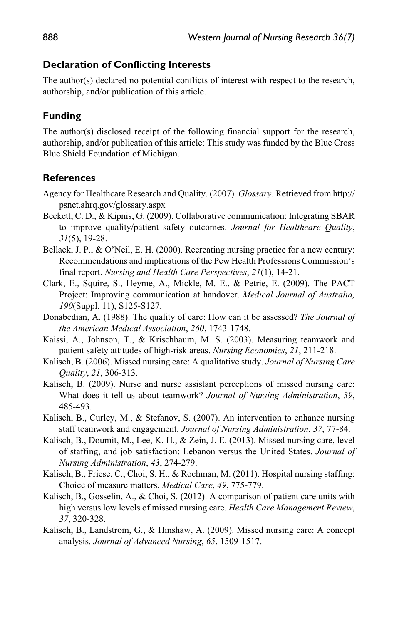#### **Declaration of Conflicting Interests**

The author(s) declared no potential conflicts of interest with respect to the research, authorship, and/or publication of this article.

#### **Funding**

The author(s) disclosed receipt of the following financial support for the research, authorship, and/or publication of this article: This study was funded by the Blue Cross Blue Shield Foundation of Michigan.

#### **References**

- Agency for Healthcare Research and Quality. (2007). *Glossary*. Retrieved from http:// psnet.ahrq.gov/glossary.aspx
- Beckett, C. D., & Kipnis, G. (2009). Collaborative communication: Integrating SBAR to improve quality/patient safety outcomes. *Journal for Healthcare Quality*, *31*(5), 19-28.
- Bellack, J. P., & O'Neil, E. H. (2000). Recreating nursing practice for a new century: Recommendations and implications of the Pew Health Professions Commission's final report. *Nursing and Health Care Perspectives*, *21*(1), 14-21.
- Clark, E., Squire, S., Heyme, A., Mickle, M. E., & Petrie, E. (2009). The PACT Project: Improving communication at handover. *Medical Journal of Australia, 190*(Suppl. 11), S125-S127.
- Donabedian, A. (1988). The quality of care: How can it be assessed? *The Journal of the American Medical Association*, *260*, 1743-1748.
- Kaissi, A., Johnson, T., & Krischbaum, M. S. (2003). Measuring teamwork and patient safety attitudes of high-risk areas. *Nursing Economics*, *21*, 211-218.
- Kalisch, B. (2006). Missed nursing care: A qualitative study. *Journal of Nursing Care Quality*, *21*, 306-313.
- Kalisch, B. (2009). Nurse and nurse assistant perceptions of missed nursing care: What does it tell us about teamwork? *Journal of Nursing Administration*, *39*, 485-493.
- Kalisch, B., Curley, M., & Stefanov, S. (2007). An intervention to enhance nursing staff teamwork and engagement. *Journal of Nursing Administration*, *37*, 77-84.
- Kalisch, B., Doumit, M., Lee, K. H., & Zein, J. E. (2013). Missed nursing care, level of staffing, and job satisfaction: Lebanon versus the United States. *Journal of Nursing Administration*, *43*, 274-279.
- Kalisch, B., Friese, C., Choi, S. H., & Rochman, M. (2011). Hospital nursing staffing: Choice of measure matters. *Medical Care*, *49*, 775-779.
- Kalisch, B., Gosselin, A., & Choi, S. (2012). A comparison of patient care units with high versus low levels of missed nursing care. *Health Care Management Review*, *37*, 320-328.
- Kalisch, B., Landstrom, G., & Hinshaw, A. (2009). Missed nursing care: A concept analysis. *Journal of Advanced Nursing*, *65*, 1509-1517.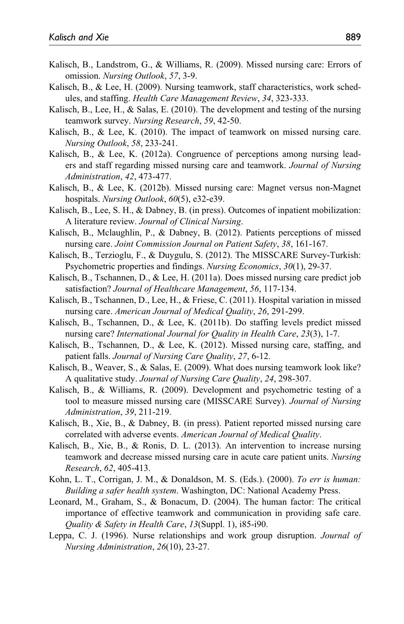- Kalisch, B., Landstrom, G., & Williams, R. (2009). Missed nursing care: Errors of omission. *Nursing Outlook*, *57*, 3-9.
- Kalisch, B., & Lee, H. (2009). Nursing teamwork, staff characteristics, work schedules, and staffing. *Health Care Management Review*, *34*, 323-333.
- Kalisch, B., Lee, H., & Salas, E. (2010). The development and testing of the nursing teamwork survey. *Nursing Research*, *59*, 42-50.
- Kalisch, B., & Lee, K. (2010). The impact of teamwork on missed nursing care. *Nursing Outlook*, *58*, 233-241.
- Kalisch, B., & Lee, K. (2012a). Congruence of perceptions among nursing leaders and staff regarding missed nursing care and teamwork. *Journal of Nursing Administration*, *42*, 473-477.
- Kalisch, B., & Lee, K. (2012b). Missed nursing care: Magnet versus non-Magnet hospitals. *Nursing Outlook*, *60*(5), e32-e39.
- Kalisch, B., Lee, S. H., & Dabney, B. (in press). Outcomes of inpatient mobilization: A literature review. *Journal of Clinical Nursing*.
- Kalisch, B., Mclaughlin, P., & Dabney, B. (2012). Patients perceptions of missed nursing care. *Joint Commission Journal on Patient Safety*, *38*, 161-167.
- Kalisch, B., Terzioglu, F., & Duygulu, S. (2012). The MISSCARE Survey-Turkish: Psychometric properties and findings. *Nursing Economics*, *30*(1), 29-37.
- Kalisch, B., Tschannen, D., & Lee, H. (2011a). Does missed nursing care predict job satisfaction? *Journal of Healthcare Management*, *56*, 117-134.
- Kalisch, B., Tschannen, D., Lee, H., & Friese, C. (2011). Hospital variation in missed nursing care. *American Journal of Medical Quality*, *26*, 291-299.
- Kalisch, B., Tschannen, D., & Lee, K. (2011b). Do staffing levels predict missed nursing care? *International Journal for Quality in Health Care*, *23*(3), 1-7.
- Kalisch, B., Tschannen, D., & Lee, K. (2012). Missed nursing care, staffing, and patient falls. *Journal of Nursing Care Quality*, *27*, 6-12.
- Kalisch, B., Weaver, S., & Salas, E. (2009). What does nursing teamwork look like? A qualitative study. *Journal of Nursing Care Quality*, *24*, 298-307.
- Kalisch, B., & Williams, R. (2009). Development and psychometric testing of a tool to measure missed nursing care (MISSCARE Survey). *Journal of Nursing Administration*, *39*, 211-219.
- Kalisch, B., Xie, B., & Dabney, B. (in press). Patient reported missed nursing care correlated with adverse events. *American Journal of Medical Quality*.
- Kalisch, B., Xie, B., & Ronis, D. L. (2013). An intervention to increase nursing teamwork and decrease missed nursing care in acute care patient units. *Nursing Research*, *62*, 405-413.
- Kohn, L. T., Corrigan, J. M., & Donaldson, M. S. (Eds.). (2000). *To err is human: Building a safer health system*. Washington, DC: National Academy Press.
- Leonard, M., Graham, S., & Bonacum, D. (2004). The human factor: The critical importance of effective teamwork and communication in providing safe care. *Quality & Safety in Health Care*, *13*(Suppl. 1), i85-i90.
- Leppa, C. J. (1996). Nurse relationships and work group disruption. *Journal of Nursing Administration*, *26*(10), 23-27.